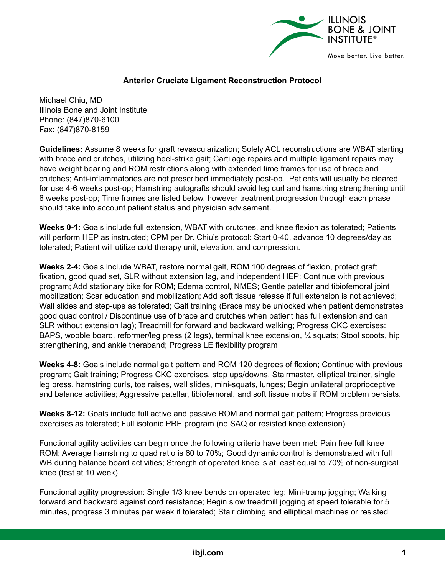

## **Anterior Cruciate Ligament Reconstruction Protocol**

Michael Chiu, MD Illinois Bone and Joint Institute Phone: (847)870-6100 Fax: (847)870-8159

**Guidelines:** Assume 8 weeks for graft revascularization; Solely ACL reconstructions are WBAT starting with brace and crutches, utilizing heel-strike gait; Cartilage repairs and multiple ligament repairs may have weight bearing and ROM restrictions along with extended time frames for use of brace and crutches; Anti-inflammatories are not prescribed immediately post-op. Patients will usually be cleared for use 4-6 weeks post-op; Hamstring autografts should avoid leg curl and hamstring strengthening until 6 weeks post-op; Time frames are listed below, however treatment progression through each phase should take into account patient status and physician advisement.

**Weeks 0-1:** Goals include full extension, WBAT with crutches, and knee flexion as tolerated; Patients will perform HEP as instructed; CPM per Dr. Chiu's protocol: Start 0-40, advance 10 degrees/day as tolerated; Patient will utilize cold therapy unit, elevation, and compression.

**Weeks 2-4:** Goals include WBAT, restore normal gait, ROM 100 degrees of flexion, protect graft fixation, good quad set, SLR without extension lag, and independent HEP; Continue with previous program; Add stationary bike for ROM; Edema control, NMES; Gentle patellar and tibiofemoral joint mobilization; Scar education and mobilization; Add soft tissue release if full extension is not achieved; Wall slides and step-ups as tolerated; Gait training (Brace may be unlocked when patient demonstrates good quad control / Discontinue use of brace and crutches when patient has full extension and can SLR without extension lag); Treadmill for forward and backward walking; Progress CKC exercises: BAPS, wobble board, reformer/leg press (2 legs), terminal knee extension, ¼ squats; Stool scoots, hip strengthening, and ankle theraband; Progress LE flexibility program

**Weeks 4-8:** Goals include normal gait pattern and ROM 120 degrees of flexion; Continue with previous program; Gait training; Progress CKC exercises, step ups/downs, Stairmaster, elliptical trainer, single leg press, hamstring curls, toe raises, wall slides, mini-squats, lunges; Begin unilateral proprioceptive and balance activities; Aggressive patellar, tibiofemoral, and soft tissue mobs if ROM problem persists.

**Weeks 8-12:** Goals include full active and passive ROM and normal gait pattern; Progress previous exercises as tolerated; Full isotonic PRE program (no SAQ or resisted knee extension)

Functional agility activities can begin once the following criteria have been met: Pain free full knee ROM; Average hamstring to quad ratio is 60 to 70%; Good dynamic control is demonstrated with full WB during balance board activities; Strength of operated knee is at least equal to 70% of non-surgical knee (test at 10 week).

Functional agility progression: Single 1/3 knee bends on operated leg; Mini-tramp jogging; Walking forward and backward against cord resistance; Begin slow treadmill jogging at speed tolerable for 5 minutes, progress 3 minutes per week if tolerated; Stair climbing and elliptical machines or resisted